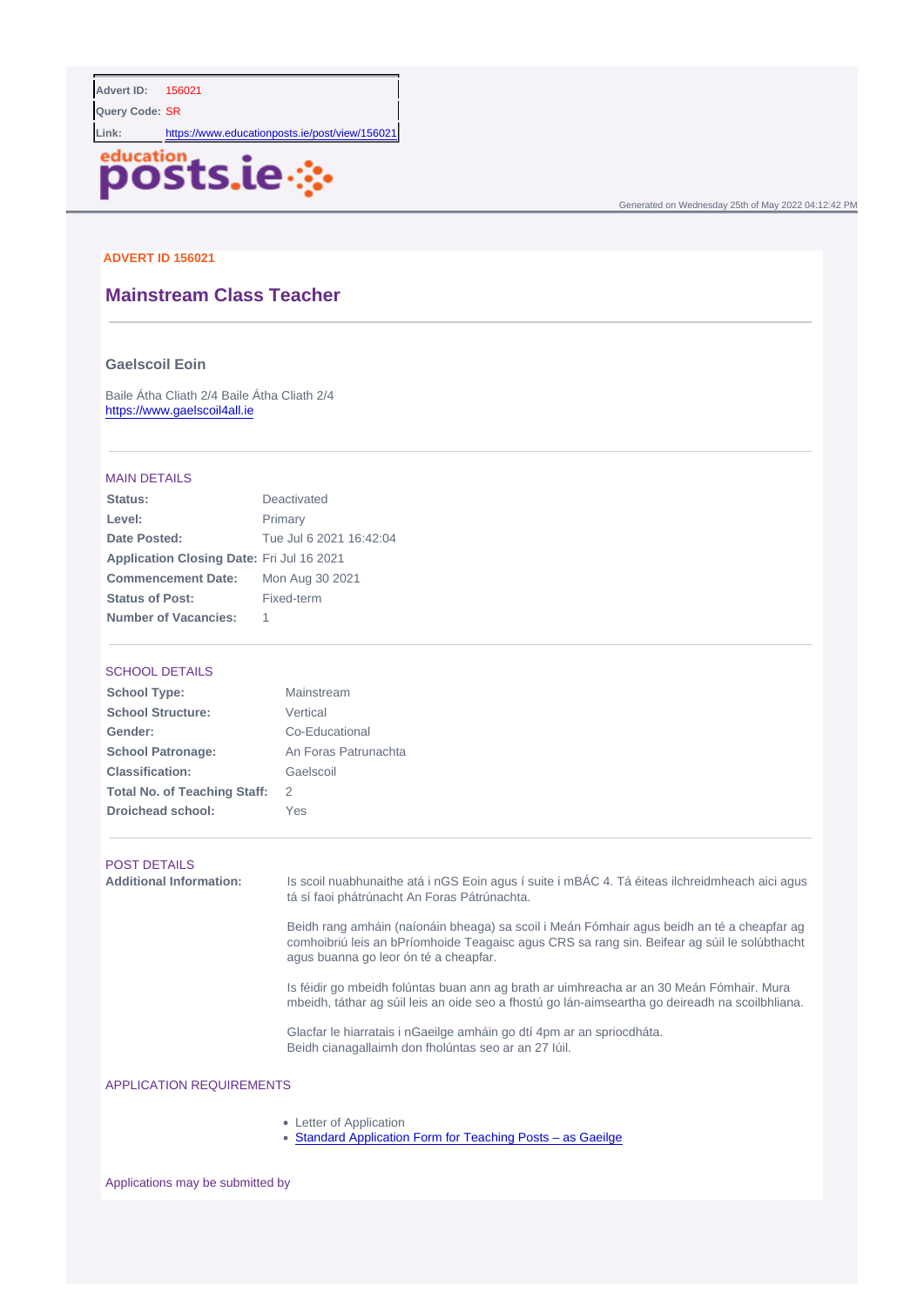Query Code: **SR** 

Link: <https://www.educationposts.ie/post/view/156021>

Generated on Wednesday 25th of May 2022 04:12:42 PM

### ADVERT ID 156021

# Mainstream Class Teacher

### Gaelscoil Eoin

Baile Átha Cliath 2/4 Baile Átha Cliath 2/4 <https://www.gaelscoil4all.ie>

#### MAIN DETAILS

| Status:                   | Deactivated             |
|---------------------------|-------------------------|
| Level:                    | Primary                 |
| Date Posted:              | Tue Jul 6 2021 16:42:04 |
| Application Closing Date: | Fri Jul 16 2021         |
| Commencement Date:        | Mon Aug 30 2021         |
| Status of Post:           | Fixed-term              |
| Number of Vacancies:      |                         |

#### SCHOOL DETAILS

| School Type:                 | Mainstream           |
|------------------------------|----------------------|
| School Structure:            | Vertical             |
| Gender:                      | Co-Educational       |
| School Patronage:            | An Foras Patrunachta |
| Classification:              | Gaelscoil            |
| Total No. of Teaching Staff: | 2                    |
| Droichead school:            | Yes                  |
|                              |                      |

#### POST DETAILS

Additional Information: Is scoil nuabhunaithe atá i nGS Eoin agus í suite i mBÁC 4. Tá éiteas ilchreidmheach aici agus tá sí faoi phátrúnacht An Foras Pátrúnachta. Beidh rang amháin (naíonáin bheaga) sa scoil i Meán Fómhair agus beidh an té a cheapfar ag comhoibriú leis an bPríomhoide Teagaisc agus CRS sa rang sin. Beifear ag súil le solúbthacht agus buanna go leor ón té a cheapfar. Is féidir go mbeidh folúntas buan ann ag brath ar uimhreacha ar an 30 Meán Fómhair. Mura mbeidh, táthar ag súil leis an oide seo a fhostú go lán-aimseartha go deireadh na scoilbhliana. Glacfar le hiarratais i nGaeilge amháin go dtí 4pm ar an spriocdháta. Beidh cianagallaimh don fholúntas seo ar an 27 Iúil.

# APPLICATION REQUIREMENTS

- Letter of Application
- [Standard Application Form for Teaching Posts as Gaeilge](/docs/Standard-Gaeilge-Application-Form-Teacher-June-2018_NL.DOC)